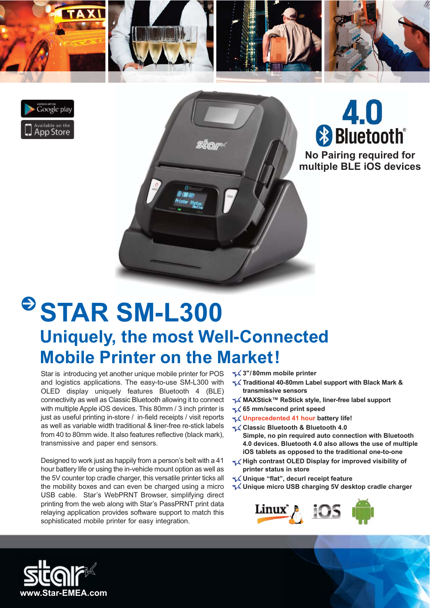





**No Pairing required for multiple BLE iOS devices**

## **STAR SM-L300 Uniquely, the most Well-Connected Mobile Printer on the Market!**

Star is introducing yet another unique mobile printer for POS and logistics applications. The easy-to-use SM-L300 with OLED display uniquely features Bluetooth 4 (BLE) connectivity as well as Classic Bluetooth allowing it to connect with multiple Apple iOS devices. This 80mm / 3 inch printer is just as useful printing in-store / in-field receipts / visit reports as well as variable width traditional & liner-free re-stick labels from 40 to 80mm wide. It also features reflective (black mark), transmissive and paper end sensors.

Designed to work just as happily from a person's belt with a 41 hour battery life or using the in-vehicle mount option as well as the 5V counter top cradle charger, this versatile printer ticks all the mobility boxes and can even be charged using a micro USB cable. Star's WebPRNT Browser, simplifying direct printing from the web along with Star's PassPRNT print data relaying application provides software support to match this sophisticated mobile printer for easy integration.

**3"/ 80mm mobile printer** 

- **Traditional 40-80mm Label support with Black Mark & transmissive sensors**
- **MAXStick™ ReStick style, liner-free label support**
- **65 mm/second print speed**
- **Unprecedented 41 hour battery life!**
- **Classic Bluetooth & Bluetooth 4.0 Simple, no pin required auto connection with Bluetooth 4.0 devices. Bluetooth 4.0 also allows the use of multiple iOS tablets as opposed to the traditional one-to-one**
- High contrast OLED Display for improved visibility of **printer status in store**
- **Unique "flat", decurl receipt feature**
- **Unique micro USB charging 5V desktop cradle charger**